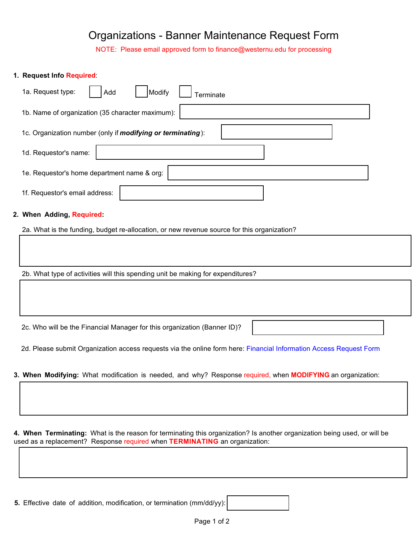## Organizations - Banner Maintenance Request Form

NOTE: Please email approved form to finance@westernu.edu for processing

## **1. Request Info Required**:

| 1a. Request type:                                                   | Modify<br>Add<br>erminate |  |  |  |
|---------------------------------------------------------------------|---------------------------|--|--|--|
| 1b. Name of organization (35 character maximum):                    |                           |  |  |  |
| 1c. Organization number (only if <i>modifying or terminating</i> ): |                           |  |  |  |
| 1d. Requestor's name:                                               |                           |  |  |  |
| 1e. Requestor's home department name & org:                         |                           |  |  |  |
| 1f. Requestor's email address:                                      |                           |  |  |  |

## **2. When Adding, Required:**

2a. What is the funding, budget re-allocation, or new revenue source for this organization?

2b. What type of activities will this spending unit be making for expenditures?

2c. Who will be the Financial Manager for this organization (Banner ID)?

2d. Please submit Organization access requests via the online form here: [Financial Information Access Request Form](https://banapps.westernu.edu:4443/live8/gzkbaaf.p_finance_request_access)

**3. When Modifying:** What modification is needed, and why? Response required, when **MODIFYING** an organization:

**4. When Terminating:** What is the reason for terminating this organization? Is another organization being used, or will be used as a replacement? Response required when **TERMINATING** an organization:

**5.** Effective date of addition, modification, or termination (mm/dd/yy):